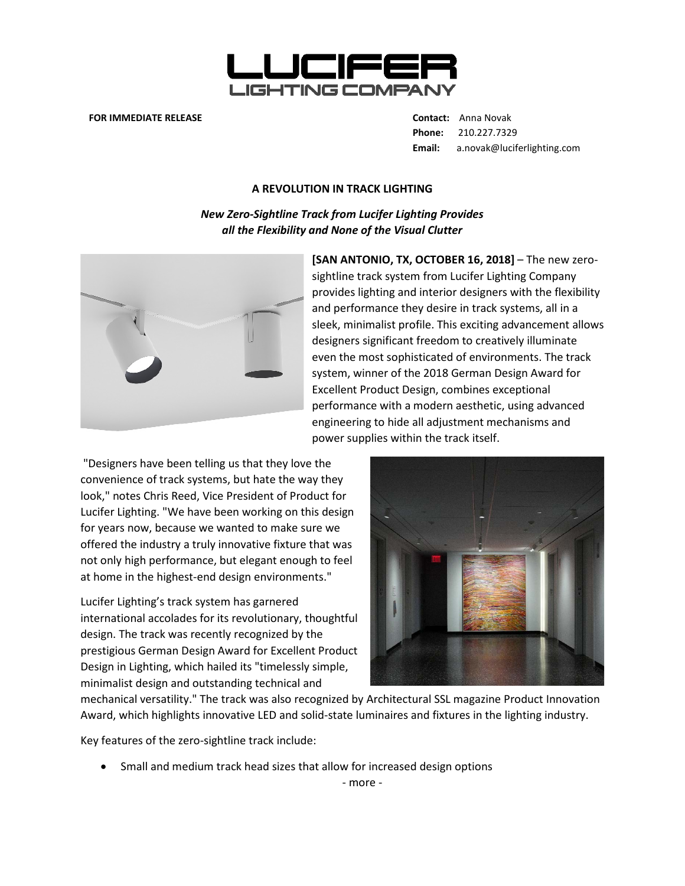

## **FOR IMMEDIATE RELEASE Contact:** Anna Novak

**Phone:** 210.227.7329 **Email:** a.novak@luciferlighting.com

## **A REVOLUTION IN TRACK LIGHTING**

*New Zero-Sightline Track from Lucifer Lighting Provides all the Flexibility and None of the Visual Clutter*



**[SAN ANTONIO, TX, OCTOBER 16, 2018]** – The new zerosightline track system from Lucifer Lighting Company provides lighting and interior designers with the flexibility and performance they desire in track systems, all in a sleek, minimalist profile. This exciting advancement allows designers significant freedom to creatively illuminate even the most sophisticated of environments. The track system, winner of the 2018 German Design Award for Excellent Product Design, combines exceptional performance with a modern aesthetic, using advanced engineering to hide all adjustment mechanisms and power supplies within the track itself.

"Designers have been telling us that they love the convenience of track systems, but hate the way they look," notes Chris Reed, Vice President of Product for Lucifer Lighting. "We have been working on this design for years now, because we wanted to make sure we offered the industry a truly innovative fixture that was not only high performance, but elegant enough to feel at home in the highest-end design environments."

Lucifer Lighting's track system has garnered international accolades for its revolutionary, thoughtful design. The track was recently recognized by the prestigious German Design Award for Excellent Product Design in Lighting, which hailed its "timelessly simple, minimalist design and outstanding technical and



mechanical versatility." The track was also recognized by Architectural SSL magazine Product Innovation Award, which highlights innovative LED and solid-state luminaires and fixtures in the lighting industry.

Key features of the zero-sightline track include:

• Small and medium track head sizes that allow for increased design options

- more -